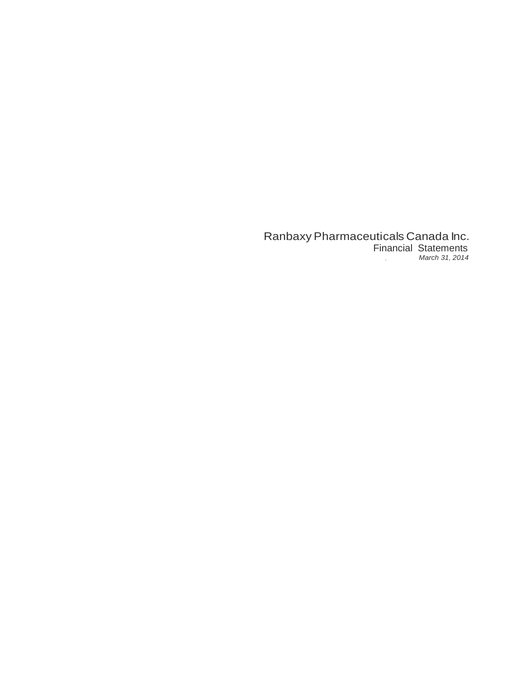Ranbaxy Pharmaceuticals Canada Inc. Financial Statements , *March 31, 2014*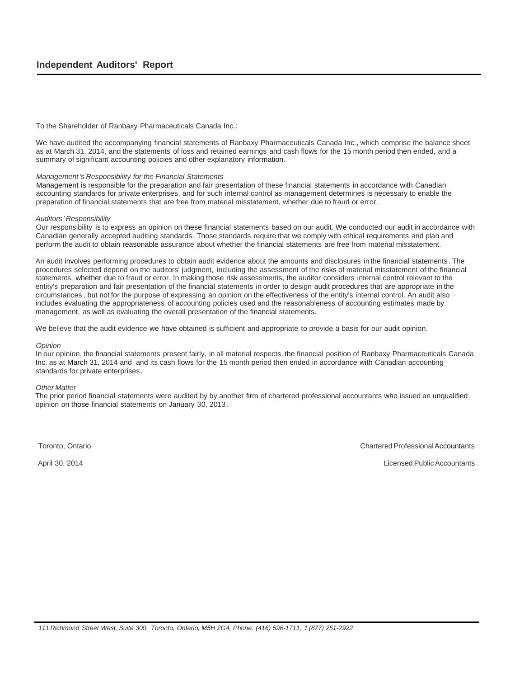### **Independent Auditors' Report**

To the Shareholder of Ranbaxy Pharmaceuticals Canada Inc.:

We have audited the accompanying financial statements of Ranbaxy Pharmaceuticals Canada Inc., which comprise the balance sheet as at March 31, 2014, and the statements of loss and retained earnings and cash flows for the 15 month period then ended, and a summary of significant accounting policies and other explanatory information.

#### *Management 's Responsibility for the Financial Statements*

Management is responsible for the preparation and fair presentation of these financial statements in accordance with Canadian accounting standards for private enterprises , and for such internal control as management determines is necessary to enable the preparation of financial statements that are free from material misstatement, whether due to fraud or error.

#### *Auditors ' Responsibility*

Our responsibility is to express an opinion on these financial statements based on our audit. We conducted our audit in accordance with Canadian generally accepted auditing standards. Those standards require that we comply with ethical requirements and plan and perform the audit to obtain reasonable assurance about whether the financial statements are free from material misstatement.

An audit involves performing procedures to obtain audit evidence about the amounts and disclosures in the financial statements . The procedures selected depend on the auditors' judgment, including the assessment of the risks of material misstatement of the financial statements, whether due to fraud or error. In making those risk assessments, the auditor considers internal control relevant to the entity's preparation and fair presentation of the financial statements in order to design audit procedures that are appropriate in the circumstances , but not for the purpose of expressing an opinion on the effectiveness of the entity's internal control. An audit also includes evaluating the appropriateness of accounting policies used and the reasonableness of accounting estimates made by management, as well as evaluating the overall presentation of the financial statements.

We believe that the audit evidence we have obtained is sufficient and appropriate to provide a basis for our audit opinion.

#### *Opinion*

In our opinion, the financial statements present fairly, in all material respects, the financial position of Ranbaxy Pharmaceuticals Canada Inc. as at March 31, 2014 and and its cash flows for the 15 month period then ended in accordance with Canadian accounting standards for private enterprises .

#### *Other Matter*

The prior period financial statements were audited by by another firm of chartered professional accountants who issued an unqualified opinion on those financial statements on January 30, 2013.

Toronto, Ontario Chartered Professional Accountants

April 30, 2014 Licensed PublicAccountants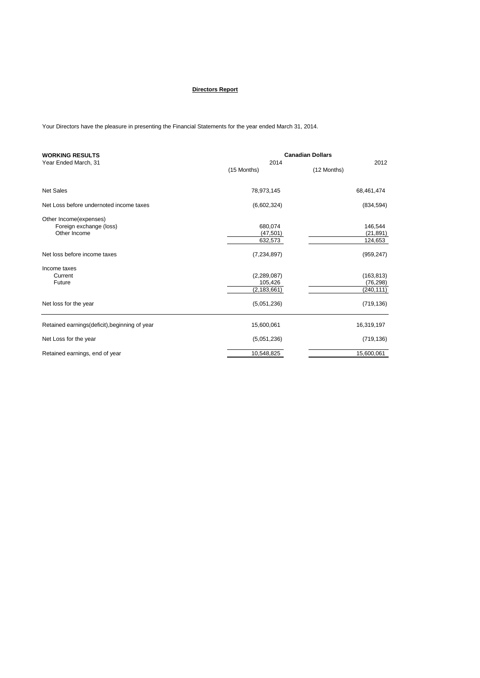### **Directors Report**

Your Directors have the pleasure in presenting the Financial Statements for the year ended March 31, 2014.

| <b>WORKING RESULTS</b>                                            |                                           | <b>Canadian Dollars</b>               |  |
|-------------------------------------------------------------------|-------------------------------------------|---------------------------------------|--|
| Year Ended March, 31                                              | 2014<br>(15 Months)                       | 2012<br>(12 Months)                   |  |
| <b>Net Sales</b>                                                  | 78,973,145                                | 68,461,474                            |  |
| Net Loss before undernoted income taxes                           | (6,602,324)                               | (834, 594)                            |  |
| Other Income(expenses)<br>Foreign exchange (loss)<br>Other Income | 680.074<br>(47, 501)<br>632,573           | 146,544<br>(21, 891)<br>124,653       |  |
| Net loss before income taxes                                      | (7, 234, 897)                             | (959, 247)                            |  |
| Income taxes<br>Current<br>Future                                 | (2, 289, 087)<br>105,426<br>(2, 183, 661) | (163, 813)<br>(76, 298)<br>(240, 111) |  |
| Net loss for the year                                             | (5,051,236)                               | (719, 136)                            |  |
| Retained earnings (deficit), beginning of year                    | 15,600,061                                | 16,319,197                            |  |
| Net Loss for the year                                             | (5,051,236)                               | (719, 136)                            |  |
| Retained earnings, end of year                                    | 10,548,825                                | 15,600,061                            |  |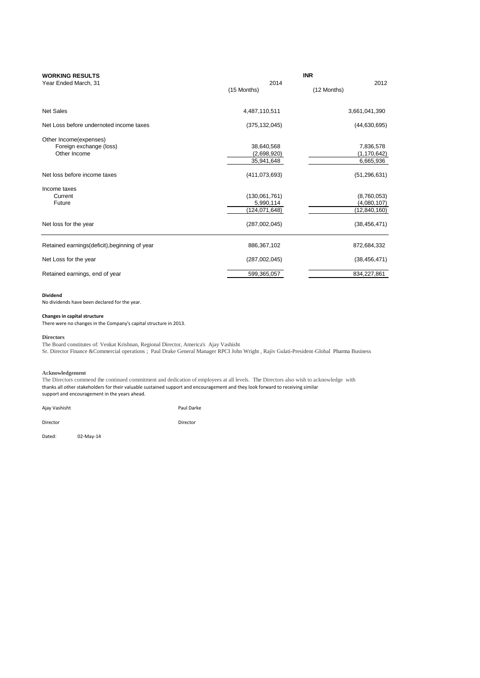| <b>WORKING RESULTS</b>                            | <b>INR</b>          |                     |  |  |
|---------------------------------------------------|---------------------|---------------------|--|--|
| Year Ended March, 31                              | 2014<br>(15 Months) | 2012<br>(12 Months) |  |  |
| <b>Net Sales</b>                                  | 4,487,110,511       | 3,661,041,390       |  |  |
| Net Loss before undernoted income taxes           | (375, 132, 045)     | (44, 630, 695)      |  |  |
| Other Income(expenses)<br>Foreign exchange (loss) | 38,640,568          | 7,836,578           |  |  |
| Other Income                                      | (2,698,920)         | (1, 170, 642)       |  |  |
|                                                   | 35,941,648          | 6,665,936           |  |  |
| Net loss before income taxes                      | (411, 073, 693)     | (51, 296, 631)      |  |  |
| Income taxes                                      |                     |                     |  |  |
| Current                                           | (130,061,761)       | (8,760,053)         |  |  |
| Future                                            | 5,990,114           | (4,080,107)         |  |  |
|                                                   | (124, 071, 648)     | (12,840,160)        |  |  |
| Net loss for the year                             | (287,002,045)       | (38, 456, 471)      |  |  |
| Retained earnings(deficit), beginning of year     | 886,367,102         | 872,684,332         |  |  |
| Net Loss for the year                             | (287,002,045)       | (38, 456, 471)      |  |  |
| Retained earnings, end of year                    | 599,365,057         | 834,227,861         |  |  |
|                                                   |                     |                     |  |  |

#### **Dividend**

No dividends have been declared for the year.

#### **Changes in capital structure**

There were no changes in the Company's capital structure in 2013.

#### **Directors**

The Board constitutes of: Venkat Krishnan, Regional Director, America's Ajay Vashisht Sr. Director Finance &Commercial operations ; Paul Drake General Manager RPCI John Wright , Rajiv Gulati-President-Global Pharma Business

#### **Acknowledgement**

The Directors commend the continued commitment and dedication of employees at all levels. The Directors also wish to acknowledge with thanks all other stakeholders for their valuable sustained support and encouragement and they look forward to receiving similar support and encouragement in the years ahead.

| Ajay Vashisht | Paul Darke |
|---------------|------------|
| Director      | Director   |

Dated: 02-May-14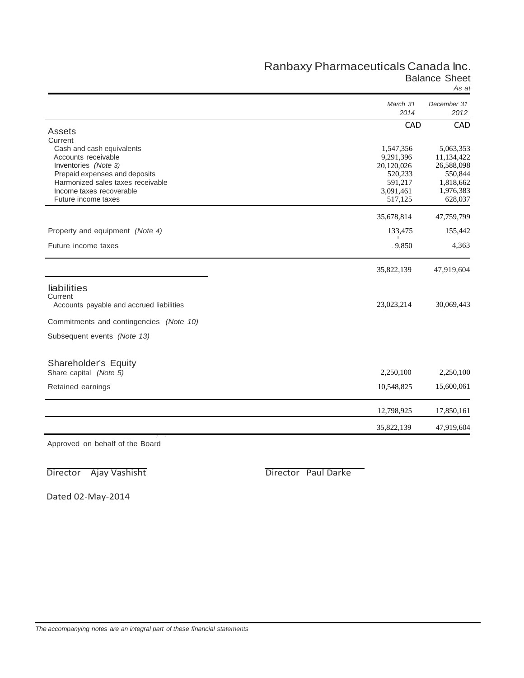## Ranbaxy Pharmaceuticals Canada Inc. Balance Sheet *As at*

|                                                                    | March 31<br>2014   | December 31<br>2012  |
|--------------------------------------------------------------------|--------------------|----------------------|
| Assets                                                             | <b>CAD</b>         | <b>CAD</b>           |
| Current                                                            |                    |                      |
| Cash and cash equivalents                                          | 1,547,356          | 5,063,353            |
| Accounts receivable                                                | 9,291,396          | 11,134,422           |
| Inventories (Note 3)                                               | 20,120,026         | 26,588,098           |
| Prepaid expenses and deposits<br>Harmonized sales taxes receivable | 520,233<br>591,217 | 550,844<br>1,818,662 |
| Income taxes recoverable                                           | 3,091,461          | 1,976,383            |
| Future income taxes                                                | 517,125            | 628,037              |
|                                                                    | 35,678,814         | 47,759,799           |
| Property and equipment (Note 4)                                    | 133,475            | 155,442              |
| Future income taxes                                                | .9,850             | 4,363                |
|                                                                    | 35,822,139         | 47,919,604           |
| liabilities                                                        |                    |                      |
| Current                                                            |                    |                      |
| Accounts payable and accrued liabilities                           | 23,023,214         | 30,069,443           |
| Commitments and contingencies (Note 10)                            |                    |                      |
| Subsequent events (Note 13)                                        |                    |                      |
|                                                                    |                    |                      |
| Shareholder's Equity<br>Share capital (Note 5)                     | 2,250,100          | 2,250,100            |
|                                                                    |                    |                      |
| Retained earnings                                                  | 10,548,825         | 15,600,061           |
|                                                                    | 12,798,925         | 17,850,161           |
|                                                                    | 35,822,139         | 47,919,604           |

Approved on behalf of the Board

Director Ajay Vashisht Director Paul Darke

Dated 02-May-2014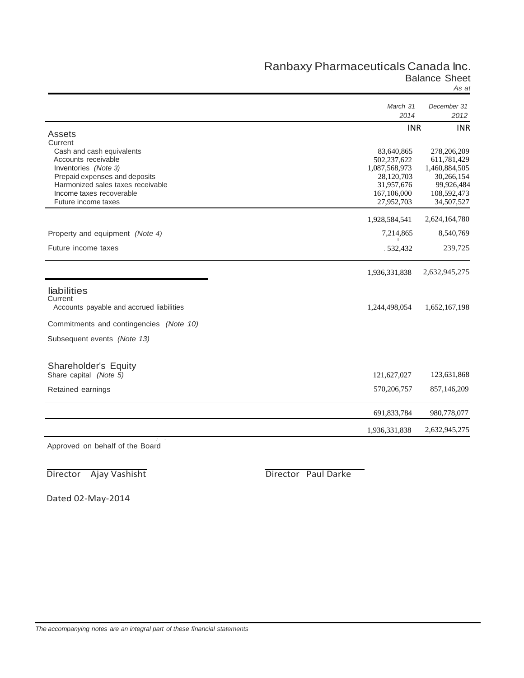## Ranbaxy Pharmaceuticals Canada Inc. Balance Sheet

*As at*

| March 31                                                                                                                                                                                                                                                                                                            | December 31<br>2014<br>2012                                                                          |
|---------------------------------------------------------------------------------------------------------------------------------------------------------------------------------------------------------------------------------------------------------------------------------------------------------------------|------------------------------------------------------------------------------------------------------|
| Assets                                                                                                                                                                                                                                                                                                              | <b>INR</b><br><b>INR</b>                                                                             |
| Current<br>Cash and cash equivalents<br>83,640,865<br>Accounts receivable<br>502,237,622<br>Inventories (Note 3)<br>1,087,568,973<br>Prepaid expenses and deposits<br>28,120,703<br>Harmonized sales taxes receivable<br>31,957,676<br>Income taxes recoverable<br>167,106,000<br>Future income taxes<br>27,952,703 | 278,206,209<br>611,781,429<br>1,460,884,505<br>30,266,154<br>99,926,484<br>108,592,473<br>34,507,527 |
| 1,928,584,541                                                                                                                                                                                                                                                                                                       | 2,624,164,780                                                                                        |
| 7,214,865<br>Property and equipment (Note 4)                                                                                                                                                                                                                                                                        | 8,540,769                                                                                            |
| Future income taxes<br>.532,432                                                                                                                                                                                                                                                                                     | 239,725                                                                                              |
| 1,936,331,838                                                                                                                                                                                                                                                                                                       | 2,632,945,275                                                                                        |
| liabilities<br>Current<br>Accounts payable and accrued liabilities<br>1,244,498,054                                                                                                                                                                                                                                 | 1,652,167,198                                                                                        |
| Commitments and contingencies (Note 10)                                                                                                                                                                                                                                                                             |                                                                                                      |
| Subsequent events (Note 13)                                                                                                                                                                                                                                                                                         |                                                                                                      |
| Shareholder's Equity<br>Share capital (Note 5)<br>121,627,027                                                                                                                                                                                                                                                       | 123,631,868                                                                                          |
| 570,206,757<br>Retained earnings                                                                                                                                                                                                                                                                                    | 857,146,209                                                                                          |
| 691,833,784                                                                                                                                                                                                                                                                                                         | 980,778,077                                                                                          |
| 1,936,331,838                                                                                                                                                                                                                                                                                                       | 2,632,945,275                                                                                        |

Approved on behalf of the Board

Director Ajay Vashisht Director Paul Darke

Dated 02-May-2014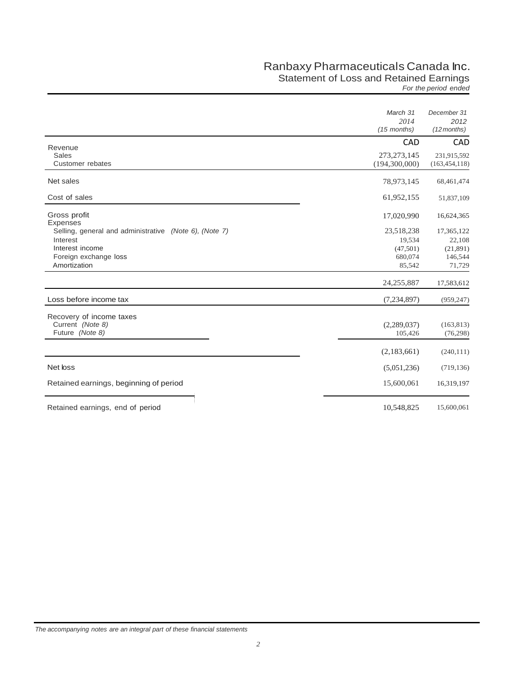## Ranbaxy Pharmaceuticals Canada Inc. Statement of Loss and Retained Earnings

*For the period ended*

|                                                                           | March 31<br>2014<br>$(15$ months) | December 31<br>2012<br>$(12$ months) |
|---------------------------------------------------------------------------|-----------------------------------|--------------------------------------|
| Revenue                                                                   | <b>CAD</b>                        | CAD                                  |
| <b>Sales</b><br>Customer rebates                                          | 273, 273, 145<br>(194,300,000)    | 231,915,592<br>(163, 454, 118)       |
| Net sales                                                                 | 78,973,145                        | 68,461,474                           |
| Cost of sales                                                             | 61,952,155                        | 51,837,109                           |
| Gross profit                                                              | 17,020,990                        | 16,624,365                           |
| <b>Expenses</b><br>Selling, general and administrative (Note 6), (Note 7) | 23,518,238                        | 17,365,122                           |
| Interest                                                                  | 19,534                            | 22,108                               |
| Interest income                                                           | (47, 501)                         | (21, 891)                            |
| Foreign exchange loss<br>Amortization                                     | 680,074<br>85,542                 | 146,544<br>71,729                    |
|                                                                           | 24, 255, 887                      | 17,583,612                           |
| Loss before income tax                                                    | (7,234,897)                       | (959, 247)                           |
| Recovery of income taxes<br>Current (Note 8)<br>Future (Note 8)           | (2,289,037)<br>105,426            | (163, 813)<br>(76, 298)              |
|                                                                           | (2,183,661)                       | (240, 111)                           |
| Net loss                                                                  | (5,051,236)                       | (719, 136)                           |
| Retained earnings, beginning of period                                    | 15,600,061                        | 16,319,197                           |
| Retained earnings, end of period                                          | 10,548,825                        | 15,600,061                           |

### *The accompanying notes are an integral part of these financial statements*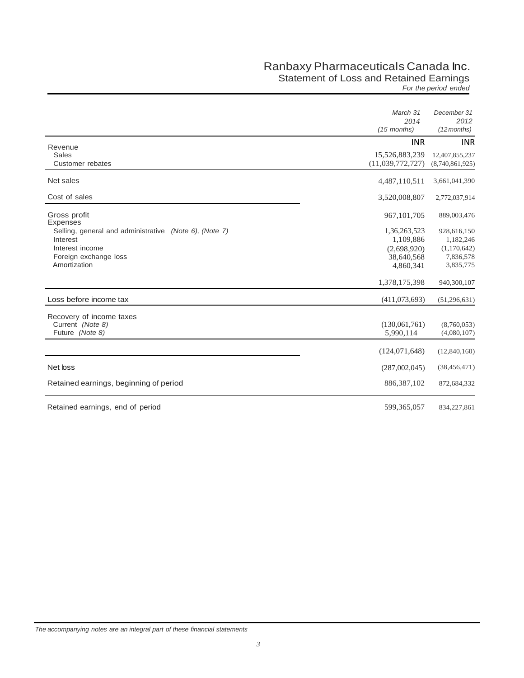## Ranbaxy Pharmaceuticals Canada Inc. Statement of Loss and Retained Earnings

*For the period ended*

|                                                        | March 31<br>2014<br>$(15$ months) | December 31<br>2012<br>$(12$ months) |
|--------------------------------------------------------|-----------------------------------|--------------------------------------|
| Revenue                                                | <b>INR</b>                        | <b>INR</b>                           |
| <b>Sales</b>                                           | 15,526,883,239                    | 12,407,855,237                       |
| Customer rebates                                       | (11,039,772,727)                  | (8,740,861,925)                      |
| Net sales                                              | 4,487,110,511                     | 3,661,041,390                        |
| Cost of sales                                          | 3,520,008,807                     | 2,772,037,914                        |
| Gross profit<br><b>Expenses</b>                        | 967, 101, 705                     | 889,003,476                          |
| Selling, general and administrative (Note 6), (Note 7) | 1,36,263,523                      | 928,616,150                          |
| Interest                                               | 1,109,886                         | 1,182,246                            |
| Interest income                                        | (2,698,920)                       | (1,170,642)                          |
| Foreign exchange loss<br>Amortization                  | 38,640,568                        | 7,836,578                            |
|                                                        | 4,860,341                         | 3,835,775                            |
|                                                        | 1,378,175,398                     | 940,300,107                          |
| Loss before income tax                                 | (411,073,693)                     | (51, 296, 631)                       |
| Recovery of income taxes                               |                                   |                                      |
| Current (Note 8)                                       | (130,061,761)                     | (8,760,053)                          |
| Future (Note 8)                                        | 5,990,114                         | (4,080,107)                          |
|                                                        | (124,071,648)                     | (12,840,160)                         |
| Net loss                                               | (287,002,045)                     | (38, 456, 471)                       |
| Retained earnings, beginning of period                 | 886, 387, 102                     | 872,684,332                          |
| Retained earnings, end of period                       | 599, 365, 057                     | 834,227,861                          |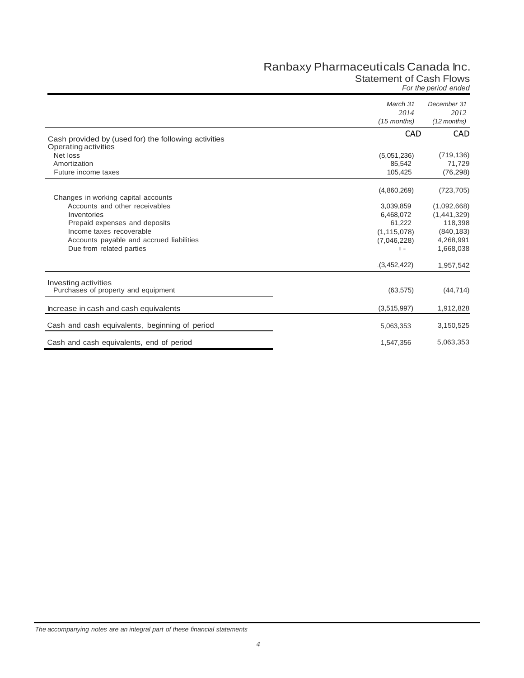## Ranbaxy Pharmaceuticals Canada Inc. Statement of Cash Flows *For the period ended*

|                                                                                                                                                                                                                           | March 31<br>2014<br>$(15$ months)                                               | December 31<br>2012<br>$(12$ months)                                                       |
|---------------------------------------------------------------------------------------------------------------------------------------------------------------------------------------------------------------------------|---------------------------------------------------------------------------------|--------------------------------------------------------------------------------------------|
| Cash provided by (used for) the following activities<br>Operating activities                                                                                                                                              | <b>CAD</b>                                                                      | <b>CAD</b>                                                                                 |
| Net loss<br>Amortization<br>Future income taxes                                                                                                                                                                           | (5,051,236)<br>85,542<br>105,425                                                | (719, 136)<br>71,729<br>(76, 298)                                                          |
|                                                                                                                                                                                                                           | (4,860,269)                                                                     | (723, 705)                                                                                 |
| Changes in working capital accounts<br>Accounts and other receivables<br>Inventories<br>Prepaid expenses and deposits<br>Income taxes recoverable<br>Accounts payable and accrued liabilities<br>Due from related parties | 3,039,859<br>6,468,072<br>61,222<br>(1, 115, 078)<br>(7,046,228)<br>(3,452,422) | (1,092,668)<br>(1,441,329)<br>118,398<br>(840, 183)<br>4,268,991<br>1,668,038<br>1,957,542 |
| Investing activities<br>Purchases of property and equipment                                                                                                                                                               | (63, 575)                                                                       | (44, 714)                                                                                  |
| Increase in cash and cash equivalents                                                                                                                                                                                     | (3,515,997)                                                                     | 1,912,828                                                                                  |
| Cash and cash equivalents, beginning of period                                                                                                                                                                            | 5,063,353                                                                       | 3,150,525                                                                                  |
| Cash and cash equivalents, end of period                                                                                                                                                                                  | 1,547,356                                                                       | 5,063,353                                                                                  |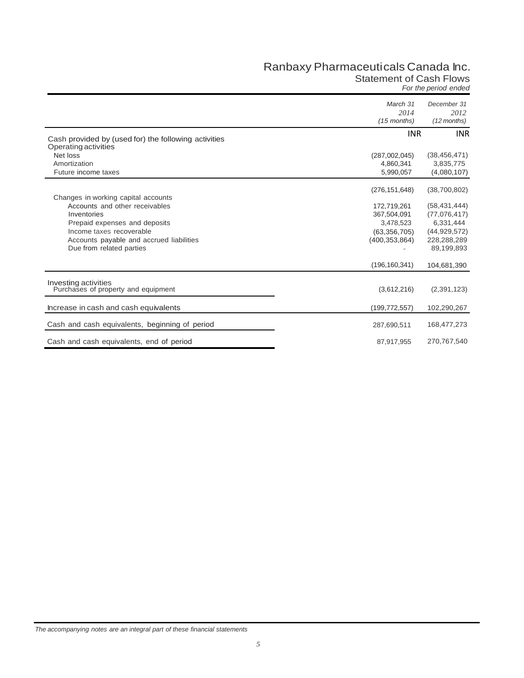## Ranbaxy Pharmaceuticals Canada Inc. Statement of Cash Flows *For the period ended*

|                                                                                                                                                                                                                           | March 31<br>2014<br>$(15$ months)                                                               | December 31<br>2012<br>$(12$ months)                                                                      |
|---------------------------------------------------------------------------------------------------------------------------------------------------------------------------------------------------------------------------|-------------------------------------------------------------------------------------------------|-----------------------------------------------------------------------------------------------------------|
| Cash provided by (used for) the following activities<br>Operating activities                                                                                                                                              | INR.                                                                                            | <b>INR</b>                                                                                                |
| Net loss<br>Amortization<br>Future income taxes                                                                                                                                                                           | (287,002,045)<br>4,860,341<br>5,990,057                                                         | (38, 456, 471)<br>3,835,775<br>(4,080,107)                                                                |
|                                                                                                                                                                                                                           | (276, 151, 648)                                                                                 | (38,700,802)                                                                                              |
| Changes in working capital accounts<br>Accounts and other receivables<br>Inventories<br>Prepaid expenses and deposits<br>Income taxes recoverable<br>Accounts payable and accrued liabilities<br>Due from related parties | 172,719,261<br>367,504,091<br>3,478,523<br>(63, 356, 705)<br>(400, 353, 864)<br>(196, 160, 341) | (58, 431, 444)<br>(77,076,417)<br>6,331,444<br>(44, 929, 572)<br>228,288,289<br>89.199.893<br>104,681,390 |
| Investing activities<br>Purchases of property and equipment                                                                                                                                                               | (3,612,216)                                                                                     | (2,391,123)                                                                                               |
| Increase in cash and cash equivalents                                                                                                                                                                                     | (199, 772, 557)                                                                                 | 102,290,267                                                                                               |
| Cash and cash equivalents, beginning of period                                                                                                                                                                            | 287,690,511                                                                                     | 168,477,273                                                                                               |
| Cash and cash equivalents, end of period                                                                                                                                                                                  | 87,917,955                                                                                      | 270,767,540                                                                                               |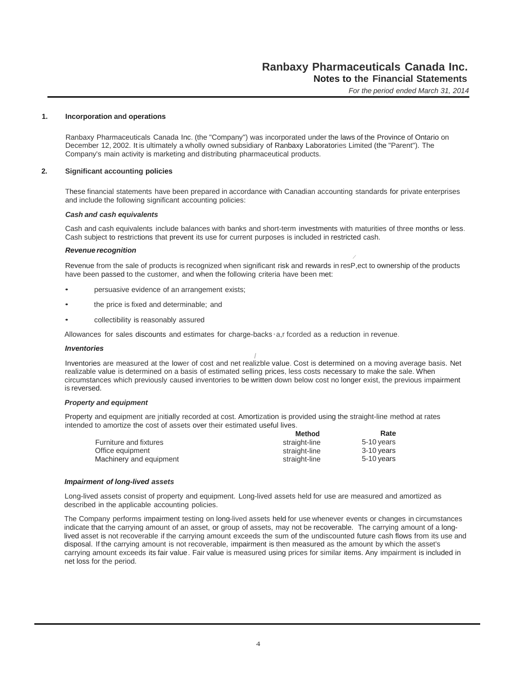/

*For the period ended March 31, 2014*

#### **1. Incorporation and operations**

Ranbaxy Pharmaceuticals Canada Inc. (the "Company") was incorporated under the laws of the Province of Ontario on December 12, 2002. It is ultimately a wholly owned subsidiary of Ranbaxy Laboratories Limited (the "Parent"). The Company's main activity is marketing and distributing pharmaceutical products.

#### **2. Significant accounting policies**

These financial statements have been prepared in accordance with Canadian accounting standards for private enterprises and include the following significant accounting policies:

#### *Cash and cash equivalents*

Cash and cash equivalents include balances with banks and short-term investments with maturities of three months or less. Cash subject to restrictions that prevent its use for current purposes is included in restricted cash.

#### *Revenue recognition*

Revenue from the sale of products is recognized when significant risk and rewards in resP,ect to ownership of the products have been passed to the customer, and when the following criteria have been met:

- persuasive evidence of an arrangement exists;
- the price is fixed and determinable; and
- collectibility is reasonably assured

Allowances for sales discounts and estimates for charge-backs •a,r fcorded as a reduction in revenue.

#### *Inventories*

*I* Inventories are measured at the lower of cost and net realizble value. Cost is determined on a moving average basis. Net realizable value is determined on a basis of estimated selling prices, less costs necessary to make the sale. When circumstances which previously caused inventories to be written down below cost no longer exist, the previous impairment is reversed.

#### *Property and equipment*

Property and equipment are jnitially recorded at cost. Amortization is provided using the straight-line method at rates intended to amortize the cost of assets over their estimated useful lives.

|                         | <b>Method</b> | Rate       |
|-------------------------|---------------|------------|
| Furniture and fixtures  | straight-line | 5-10 years |
| Office equipment        | straight-line | 3-10 years |
| Machinery and equipment | straight-line | 5-10 years |

#### *Impairment of long-lived assets*

Long-lived assets consist of property and equipment. Long-lived assets held for use are measured and amortized as described in the applicable accounting policies.

The Company performs impairment testing on long-lived assets held for use whenever events or changes in circumstances indicate that the carrying amount of an asset, or group of assets, may not be recoverable. The carrying amount of a longlived asset is not recoverable if the carrying amount exceeds the sum of the undiscounted future cash flows from its use and disposal. If the carrying amount is not recoverable, impairment is then measured as the amount by which the asset's carrying amount exceeds its fair value. Fair value is measured using prices for similar items. Any impairment is included in net loss for the period.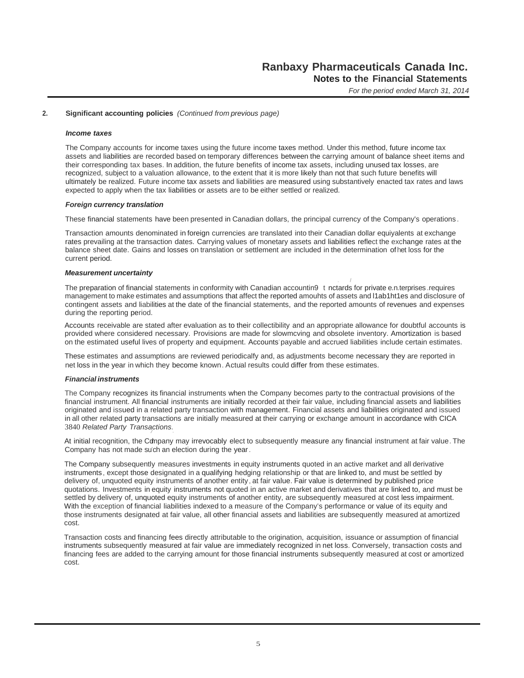#### **2. Significant accounting policies** *(Continued from previous page)*

#### *Income taxes*

The Company accounts for income taxes using the future income taxes method. Under this method, future income tax assets and liabilities are recorded based on temporary differences between the carrying amount of balance sheet items and their corresponding tax bases. In addition, the future benefits of income tax assets, including unused tax losses, are recognized, subject to a valuation allowance, to the extent that it is more likely than not that such future benefits will ultimately be realized. Future income tax assets and liabilities are measured using substantively enacted tax rates and laws expected to apply when the tax liabilities or assets are to be either settled or realized.

#### *Foreign currency translation*

These financial statements have been presented in Canadian dollars, the principal currency of the Company's operations .

Transaction amounts denominated in foreign currencies are translated into their Canadian dollar equiyalents at exchange rates prevailing at the transaction dates. Carrying values of monetary assets and liabilities reflect the exchange rates at the balance sheet date. Gains and losses on translation or settlement are included in the determination ofhet loss for the current period.

#### *Measurement uncertainty*

. *I* The preparation of financial statements in conformity with Canadian accountin9 t nctards for private e.n.terprises .requires management to make estimates and assumptions that affect the reported amouhts of assets and l1ab1ht1es and disclosure of contingent assets and liabilities at the date of the financial statements, and the reported amounts of revenues and expenses during the reporting period.

Accounts receivable are stated after evaluation as to their collectibility and an appropriate allowance for doubtful accounts is provided where considered necessary. Provisions are made for slowmcving and obsolete inventory. Amortization is based on the estimated useful lives of property and equipment. Accounts'payable and accrued liabilities include certain estimates.

These estimates and assumptions are reviewed periodicalfy and, as adjustments become necessary they are reported in net loss in the year in which they become known. Actual results could differ from these estimates.

#### *Financial instruments*

. 3840 *Related Party Transactions.* / The Company recognizes its financial instruments when the Company becomes party to the contractual provisions of the financial instrument. All financial instruments are initially recorded at their fair value, including financial assets and liabilities originated and issued in a related party transaction with management. Financial assets and liabilities originated and issued in all other related party transactions are initially measured at their carrying or exchange amount in accordance with CICA

At initial recognition, the Cdmpany may irrevocably elect to subsequently measure any financial instrument at fair value. The Company has not made su'ch an election during the year.

The Company subsequently measures investments in equity instruments quoted in an active market and all derivative instruments , except those designated in a qualifying hedging relationship or that are linked to, and must be settled by delivery of, unquoted equity instruments of another entity, at fair value. Fair value is determined by published price quotations. Investments in equity instruments not quoted in an active market and derivatives that are linked to, and must be settled by delivery of, unquoted equity instruments of another entity, are subsequently measured at cost less impairment. With the exception of financial liabilities indexed to a measure of the Company's performance or value of its equity and those instruments designated at fair value, all other financial assets and liabilities are subsequently measured at amortized cost.

Transaction costs and financing fees directly attributable to the origination, acquisition, issuance or assumption of financial instruments subsequently measured at fair value are immediately recognized in net loss. Conversely, transaction costs and financing fees are added to the carrying amount for those financial instruments subsequently measured at cost or amortized cost.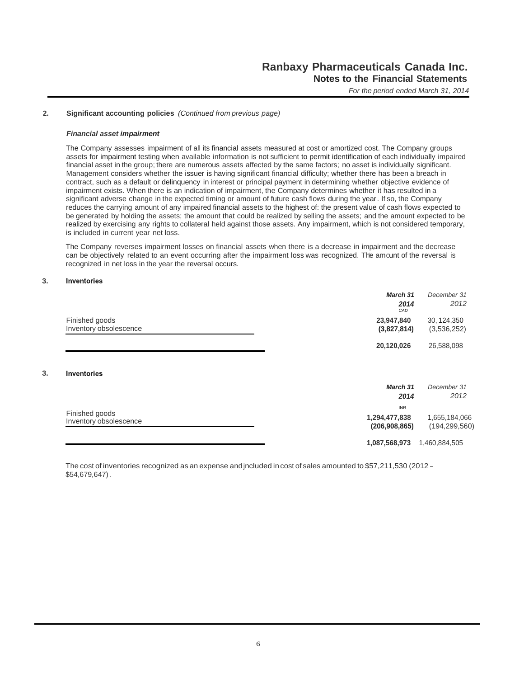#### **2. Significant accounting policies** *(Continued from previous page)*

#### *Financial asset impairment*

The Company assesses impairment of all its financial assets measured at cost or amortized cost. The Company groups assets for impairment testing when available information is not sufficient to permit identification of each individually impaired financial asset in the group; there are numerous assets affected by the same factors; no asset is individually significant. Management considers whether the issuer is having significant financial difficulty; whether there has been a breach in contract, such as a default or delinquency in interest or principal payment in determining whether objective evidence of impairment exists. When there is an indication of impairment, the Company determines whether it has resulted in a significant adverse change in the expected timing or amount of future cash flows during the year. If so, the Company reduces the carrying amount of any impaired financial assets to the highest of: the present value of cash flows expected to be generated by holding the assets; the amount that could be realized by selling the assets; and the amount expected to be realized by exercising any rights to collateral held against those assets. Any impairment, which is not considered temporary, is included in current year net loss.

The Company reverses impairment losses on financial assets when there is a decrease in impairment and the decrease can be objectively related to an event occurring after the impairment loss was recognized. The amount of the reversal is recognized in net loss in the year the reversal occurs.

#### **Inventories 3.**

**3.**

|                                          | <b>March 31</b>                  | December 31                      |
|------------------------------------------|----------------------------------|----------------------------------|
|                                          | 2014<br>CAD                      | 2012                             |
| Finished goods<br>Inventory obsolescence | 23,947,840<br>(3,827,814)        | 30, 124, 350<br>(3,536,252)      |
|                                          | 20,120,026                       | 26,588,098                       |
| <b>Inventories</b>                       |                                  |                                  |
|                                          | March 31<br>2014                 | December 31<br>2012              |
|                                          | <b>INR</b>                       |                                  |
| Finished goods<br>Inventory obsolescence | 1,294,477,838<br>(206, 908, 865) | 1,655,184,066<br>(194, 299, 560) |
|                                          | 1,087,568,973                    | 1,460,884,505                    |

The cost of inventories recognized as an expense andjncluded in cost of sales amounted to \$57,211,530 (2012 - \$54,679,647).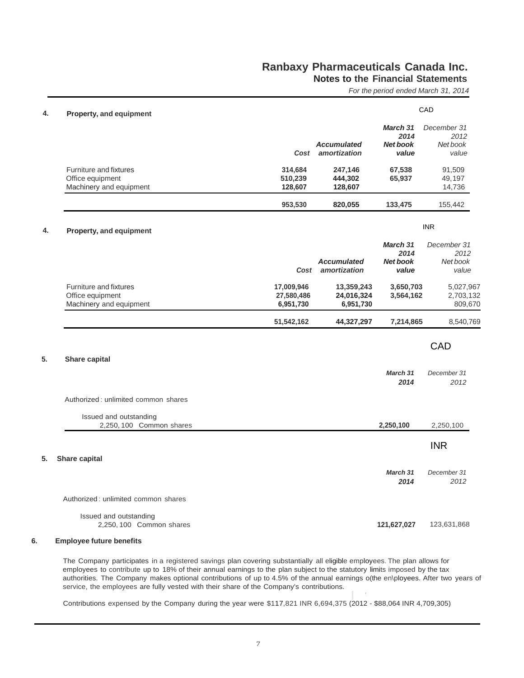# **Ranbaxy Pharmaceuticals Canada Inc.**

## **Notes to the Financial Statements**

*For the period ended March 31, 2014*

| 4. | Property, and equipment                                                                                                                                                                                                                               |                                       |                                         |                                              | CAD                                      |
|----|-------------------------------------------------------------------------------------------------------------------------------------------------------------------------------------------------------------------------------------------------------|---------------------------------------|-----------------------------------------|----------------------------------------------|------------------------------------------|
|    |                                                                                                                                                                                                                                                       |                                       | <b>Accumulated</b><br>Cost amortization | March 31<br>2014<br>Net book<br>value        | December 31<br>2012<br>Net book<br>value |
|    | Furniture and fixtures<br>Office equipment<br>Machinery and equipment                                                                                                                                                                                 | 314,684<br>510,239<br>128,607         | 247,146<br>444,302<br>128,607           | 67,538<br>65,937                             | 91,509<br>49,197<br>14,736               |
|    |                                                                                                                                                                                                                                                       | 953,530                               | 820,055                                 | 133,475                                      | 155,442                                  |
| 4. | Property, and equipment                                                                                                                                                                                                                               |                                       |                                         |                                              | <b>INR</b>                               |
|    |                                                                                                                                                                                                                                                       | Cost                                  | <b>Accumulated</b><br>amortization      | <b>March 31</b><br>2014<br>Net book<br>value | December 31<br>2012<br>Net book<br>value |
|    | Furniture and fixtures<br>Office equipment<br>Machinery and equipment                                                                                                                                                                                 | 17,009,946<br>27,580,486<br>6,951,730 | 13,359,243<br>24,016,324<br>6,951,730   | 3,650,703<br>3,564,162                       | 5,027,967<br>2,703,132<br>809,670        |
|    |                                                                                                                                                                                                                                                       | 51,542,162                            | 44,327,297                              | 7,214,865                                    | 8,540,769                                |
| 5. | Share capital                                                                                                                                                                                                                                         |                                       |                                         |                                              | CAD                                      |
|    |                                                                                                                                                                                                                                                       |                                       |                                         | March 31<br>2014                             | December 31<br>2012                      |
|    | Authorized: unlimited common shares                                                                                                                                                                                                                   |                                       |                                         |                                              |                                          |
|    | Issued and outstanding<br>2,250, 100 Common shares                                                                                                                                                                                                    |                                       |                                         | 2,250,100                                    | 2,250,100                                |
| 5. | <b>Share capital</b>                                                                                                                                                                                                                                  |                                       |                                         |                                              | <b>INR</b>                               |
|    |                                                                                                                                                                                                                                                       |                                       |                                         | <b>March 31</b><br>2014                      | December 31<br>2012                      |
|    | Authorized: unlimited common shares                                                                                                                                                                                                                   |                                       |                                         |                                              |                                          |
|    | Issued and outstanding<br>2,250, 100 Common shares                                                                                                                                                                                                    |                                       |                                         | 121,627,027                                  | 123,631,868                              |
| 6. | <b>Employee future benefits</b>                                                                                                                                                                                                                       |                                       |                                         |                                              |                                          |
|    | The Company participates in a registered savings plan covering substantially all eligible employees. The plan allows for<br>employees to contribute up to 18% of their annual earnings to the plan subject to the statutory limits imposed by the tax |                                       |                                         |                                              |                                          |

authorities. The Company makes optional contributions of up to 4.5% of the annual earnings o(the en\ployees. After two years of service, the employees are fully vested with their share of the Company's contributions.

Contributions expensed by the Company during the year were \$117,821 INR 6,694,375 (2012 - \$88,064 INR 4,709,305)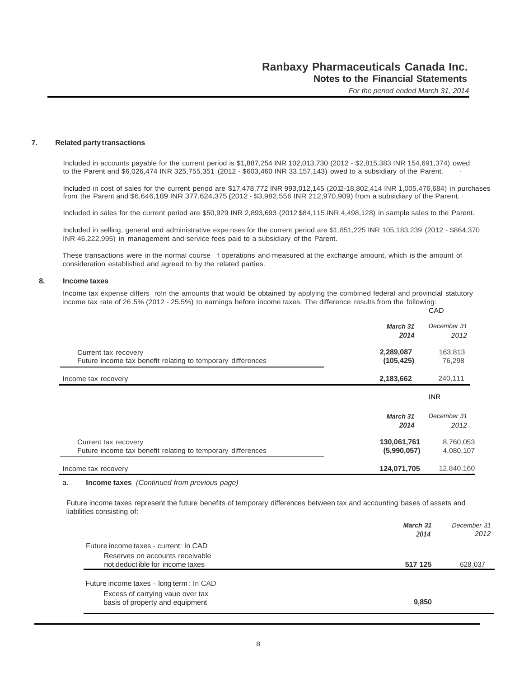#### **7. Related party transactions**

Included in accounts payable for the current period is \$1,887,254 INR 102,013,730 (2012 - \$2,815,383 INR 154,691,374) owed to the Parent and \$6,026,474 INR 325,755,351 (2012 - \$603,460 INR 33,157,143) owed to a subsidiary of the Parent. ·

Included in cost of sales for the current period are \$17,478,772 INR 993,012,145 (2012-18,802,414 INR 1,005,476,684) in purchases from the Parent and \$6,646,189 INR 377,624,375 (2012 - \$3,982,556 INR 212,970,909) from a subsidiary of the Parent. <sup>1</sup>

Included in sales for the current period are \$50,929 INR 2,893,693 (2012 \$84,115 INR 4,498,128) in sample sales to the Parent.

Included in selling, general and administrative expe·nses for the current period are \$1,851,225 INR 105,183,239 (2012 - \$864,370 INR 46,222,995) in management and service fees paid to a subsidiary of the Parent.

These transactions were in the normal course f operations and measured at the exchange amount, which is the amount of consideration established and agreed to by the related parties.

#### **8. Income taxes**

Income tax expense differs ro!n the amounts that would be obtained by applying the combined federal and provincial statutory income tax rate of 26.5% (2012 - 25.5%) to earnings before income taxes. The difference results from the following: **CAD** 

|                                                                                     | March 31<br>2014           | December 31<br>2012    |
|-------------------------------------------------------------------------------------|----------------------------|------------------------|
| Current tax recovery<br>Future income tax benefit relating to temporary differences | 2,289,087<br>(105, 425)    | 163,813<br>76,298      |
| Income tax recovery                                                                 | 2,183,662                  | 240,111                |
|                                                                                     | <b>INR</b>                 |                        |
|                                                                                     | March 31<br>2014           | December 31<br>2012    |
| Current tax recovery<br>Future income tax benefit relating to temporary differences | 130,061,761<br>(5,990,057) | 8,760,053<br>4,080,107 |
| Income tax recovery                                                                 | 124,071,705                | 12,840,160             |
|                                                                                     |                            |                        |

a. **Income taxes** *(Continued from previous page)*

Future income taxes represent the future benefits of temporary differences between tax and accounting bases of assets and liabilities consisting of:

|                                         | March 31 | December 31 |
|-----------------------------------------|----------|-------------|
|                                         | 2014     | 2012        |
| Future income taxes - current: In CAD   |          |             |
| Reserves on accounts receivable         |          |             |
| not deduct ible for income taxes        | 517 125  | 628,037     |
| Future income taxes - long term: In CAD |          |             |
| Excess of carrying vaue over tax        |          |             |
| basis of property and equipment         | 9,850    |             |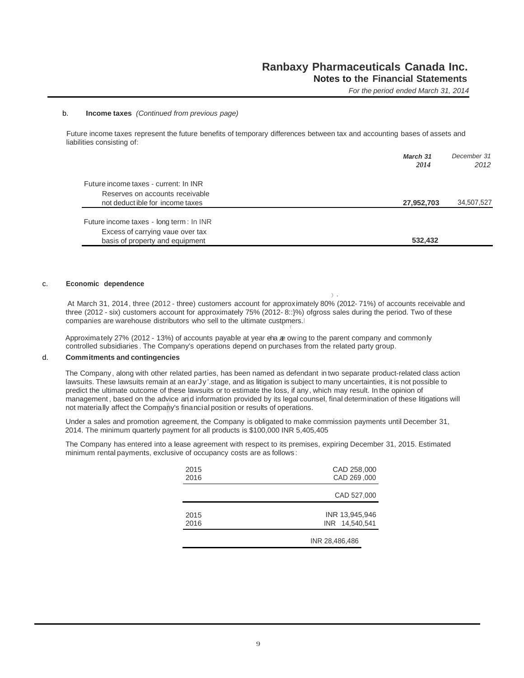#### b. **Income taxes** *(Continued from previous page)*

Future income taxes represent the future benefits of temporary differences between tax and accounting bases of assets and liabilities consisting of:

|                                                                     | March 31<br>2014 | December 31<br>2012 |
|---------------------------------------------------------------------|------------------|---------------------|
| Future income taxes - current: In INR                               |                  |                     |
| Reserves on accounts receivable<br>not deduct ible for income taxes | 27,952,703       | 34,507,527          |
| Future income taxes - long term: In INR                             |                  |                     |
| Excess of carrying vaue over tax<br>basis of property and equipment | 532.432          |                     |

) .

#### c. **Economic dependence**

At March 31, 2014, three (2012 - three) customers account for approximately 80% (2012- 71%) of accounts receivable and three (2012 - six) customers account for approximately 75% (2012- 8::}%) ofgross sales during the period. Two of these companies are warehouse distributors who sell to the ultimate custpmers.

Approximately 27% (2012 - 13%) of accounts payable at year eha ,pe owing to the parent company and commonly controlled subsidiaries . The Company's operations depend on purchases from the related party group.

#### d. **Commitments and contingencies**

The Company, along with other related parties, has been named as defendant in two separate product-related class action lawsuits. These lawsuits remain at an earJy'.stage, and as litigation is subject to many uncertainties, it is not possible to predict the ultimate outcome of these lawsuits or to estimate the loss, if any, which may result. In the opinion of management , based on the advice an.d information provided by its legal counsel, final determination of these litigations will not materially affect the Company's financial position or results of operations.

Under a sales and promotion agreement, the Company is obligated to make commission payments until December 31, 2014. The minimum quarterly payment for all products is \$100,000 INR 5,405,405

The Company has entered into a lease agreement with respect to its premises, expiring December 31, 2015. Estimated minimum rental payments, exclusive of occupancy costs are as follows :

| 2015 | CAD 258,000    |
|------|----------------|
| 2016 | CAD 269,000    |
|      | CAD 527,000    |
| 2015 | INR 13,945,946 |
| 2016 | INR 14.540.541 |
|      | INR 28,486,486 |